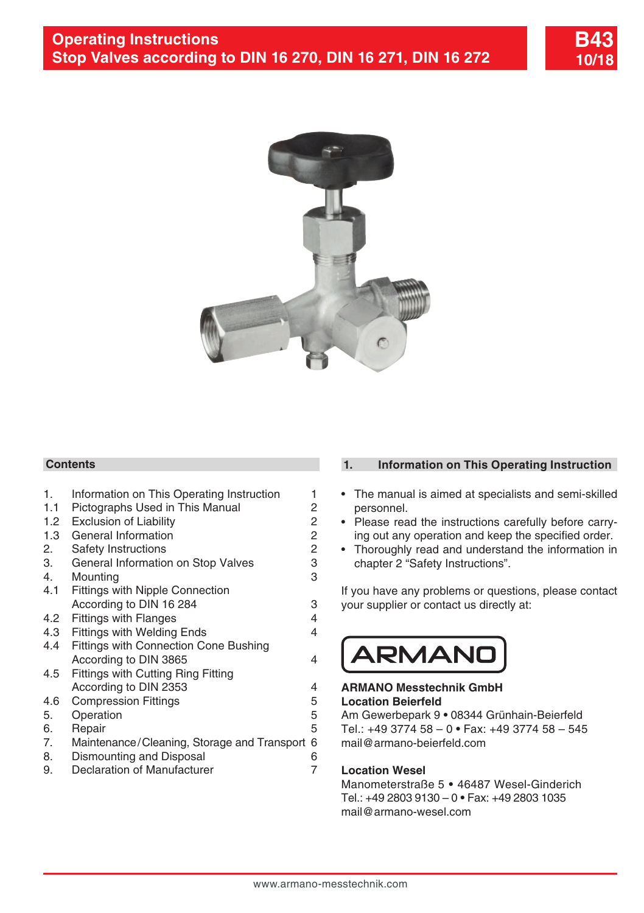

# **Contents**

| 1.  | Information on This Operating Instruction    | 1              |
|-----|----------------------------------------------|----------------|
| 1.1 | Pictographs Used in This Manual              | 2              |
| 1.2 | <b>Exclusion of Liability</b>                | $\overline{c}$ |
| 1.3 | General Information                          |                |
| 2.  | Safety Instructions                          | $\frac{2}{2}$  |
| 3.  | General Information on Stop Valves           | 3              |
| 4.  | Mounting                                     | 3              |
| 4.1 | <b>Fittings with Nipple Connection</b>       |                |
|     | According to DIN 16 284                      | 3              |
| 4.2 |                                              | 4              |
|     | <b>Fittings with Flanges</b>                 |                |
| 4.3 | <b>Fittings with Welding Ends</b>            | 4              |
| 4.4 | <b>Fittings with Connection Cone Bushing</b> |                |
|     | According to DIN 3865                        | 4              |
| 4.5 | Fittings with Cutting Ring Fitting           |                |
|     | According to DIN 2353                        | 4              |
| 4.6 | <b>Compression Fittings</b>                  | 5              |
| 5.  | Operation                                    | 5              |
| 6.  | Repair                                       | 5              |
|     |                                              |                |
| 7.  | Maintenance/Cleaning, Storage and Transport  | 6              |
| 8.  | Dismounting and Disposal                     | 6              |
| 9.  | Declaration of Manufacturer                  | 7              |
|     |                                              |                |
|     |                                              |                |
|     |                                              |                |

## **1. Information on This Operating Instruction**

- The manual is aimed at specialists and semi-skilled personnel.
- Please read the instructions carefully before carrying out any operation and keep the specified order.
- Thoroughly read and understand the information in chapter 2 "Safety Instructions".

If you have any problems or questions, please contact your supplier or contact us directly at:



## **ARMANO Messtechnik GmbH Location Beierfeld**

Am Gewerbepark 9 **•** 08344 Grünhain-Beierfeld Tel.: +49 3774 58 – 0 **•** Fax: +49 3774 58 – 545 mail@armano-beierfeld.com

# **Location Wesel**

Manometerstraße 5 **•** 46487 Wesel-Ginderich Tel.: +49 2803 9130 – 0 **•** Fax: +49 2803 1035 mail@armano-wesel.com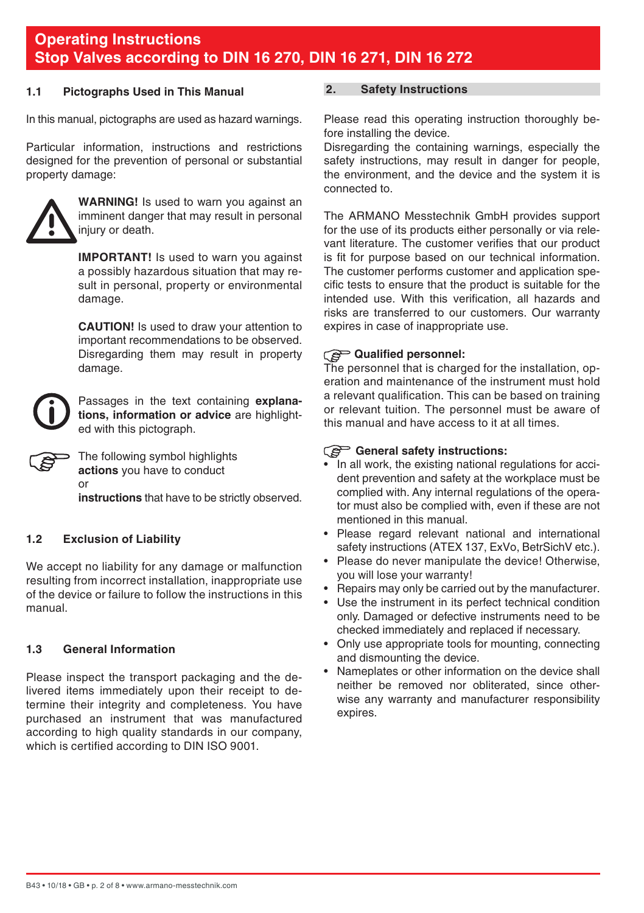## <span id="page-1-0"></span>**1.1 Pictographs Used in This Manual**

In this manual, pictographs are used as hazard warnings.

Particular information, instructions and restrictions designed for the prevention of personal or substantial property damage:



**WARNING!** Is used to warn you against an imminent danger that may result in personal injury or death.

**IMPORTANT!** Is used to warn you against a possibly hazardous situation that may result in personal, property or environmental damage.

 **CAUTION!** Is used to draw your attention to important recommendations to be observed. Disregarding them may result in property damage.



Passages in the text containing **explanations, information or advice** are highlighted with this pictograph.

The following symbol highlights **actions** you have to conduct or **instructions** that have to be strictly observed.

# **1.2 Exclusion of Liability**

We accept no liability for any damage or malfunction resulting from incorrect installation, inappropriate use of the device or failure to follow the instructions in this manual.

# **1.3 General Information**

Please inspect the transport packaging and the delivered items immediately upon their receipt to determine their integrity and completeness. You have purchased an instrument that was manufactured according to high quality standards in our company, which is certified according to DIN ISO 9001.

# **2. Safety Instructions**

Please read this operating instruction thoroughly before installing the device.

Disregarding the containing warnings, especially the safety instructions, may result in danger for people. the environment, and the device and the system it is connected to.

The ARMANO Messtechnik GmbH provides support for the use of its products either personally or via relevant literature. The customer verifies that our product is fit for purpose based on our technical information. The customer performs customer and application specific tests to ensure that the product is suitable for the intended use. With this verification, all hazards and risks are transferred to our customers. Our warranty expires in case of inappropriate use.

# **Qualified personnel:**

The personnel that is charged for the installation, operation and maintenance of the instrument must hold a relevant qualification. This can be based on training or relevant tuition. The personnel must be aware of this manual and have access to it at all times.

# **General safety instructions:**

- In all work, the existing national regulations for accident prevention and safety at the workplace must be complied with. Any internal regulations of the operator must also be complied with, even if these are not mentioned in this manual.
- Please regard relevant national and international safety instructions (ATEX 137, ExVo, BetrSichV etc.).
- Please do never manipulate the device! Otherwise, you will lose your warranty!
- Repairs may only be carried out by the manufacturer.
- Use the instrument in its perfect technical condition only. Damaged or defective instruments need to be checked immediately and replaced if necessary.
- Only use appropriate tools for mounting, connecting and dismounting the device.
- Nameplates or other information on the device shall neither be removed nor obliterated, since otherwise any warranty and manufacturer responsibility expires.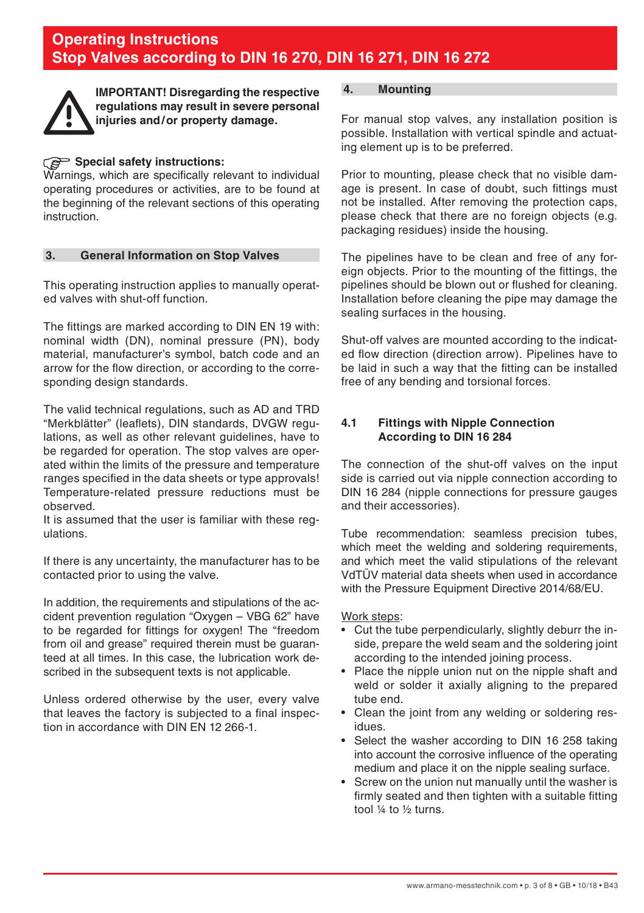<span id="page-2-0"></span>

**IMPORTANT! Disregarding the respective regulations may result in severe personal injuries and/or property damage.**

# **Special safety instructions:**

Warnings, which are specifically relevant to individual operating procedures or activities, are to be found at the beginning of the relevant sections of this operating instruction.

# **3. General Information on Stop Valves**

This operating instruction applies to manually operated valves with shut-off function.

The fittings are marked according to DIN EN 19 with: nominal width (DN), nominal pressure (PN), body material, manufacturer's symbol, batch code and an arrow for the flow direction, or according to the corresponding design standards.

The valid technical regulations, such as AD and TRD "Merkblätter" (leaflets), DIN standards, DVGW regulations, as well as other relevant guidelines, have to be regarded for operation. The stop valves are operated within the limits of the pressure and temperature ranges specified in the data sheets or type approvals! Temperature-related pressure reductions must be observed.

It is assumed that the user is familiar with these regulations.

If there is any uncertainty, the manufacturer has to be contacted prior to using the valve.

In addition, the requirements and stipulations of the accident prevention regulation "Oxygen – VBG 62" have to be regarded for fittings for oxygen! The "freedom from oil and grease" required therein must be guaranteed at all times. In this case, the lubrication work described in the subsequent texts is not applicable.

Unless ordered otherwise by the user, every valve that leaves the factory is subjected to a final inspection in accordance with DIN EN 12 266-1.

# **4. Mounting**

For manual stop valves, any installation position is possible. Installation with vertical spindle and actuating element up is to be preferred.

Prior to mounting, please check that no visible damage is present. In case of doubt, such fittings must not be installed. After removing the protection caps, please check that there are no foreign objects (e.g. packaging residues) inside the housing.

The pipelines have to be clean and free of any foreign objects. Prior to the mounting of the fittings, the pipelines should be blown out or flushed for cleaning. Installation before cleaning the pipe may damage the sealing surfaces in the housing.

Shut-off valves are mounted according to the indicated flow direction (direction arrow). Pipelines have to be laid in such a way that the fitting can be installed free of any bending and torsional forces.

# **4.1 Fittings with Nipple Connection According to DIN 16 284**

The connection of the shut-off valves on the input side is carried out via nipple connection according to DIN 16 284 (nipple connections for pressure gauges and their accessories).

Tube recommendation: seamless precision tubes, which meet the welding and soldering requirements, and which meet the valid stipulations of the relevant VdTÜV material data sheets when used in accordance with the Pressure Equipment Directive 2014/68/EU.

#### Work steps:

- Cut the tube perpendicularly, slightly deburr the inside, prepare the weld seam and the soldering joint according to the intended joining process.
- Place the nipple union nut on the nipple shaft and weld or solder it axially aligning to the prepared tube end.
- Clean the joint from any welding or soldering residues.
- Select the washer according to DIN 16 258 taking into account the corrosive influence of the operating medium and place it on the nipple sealing surface.
- Screw on the union nut manually until the washer is firmly seated and then tighten with a suitable fitting tool ¼ to ½ turns.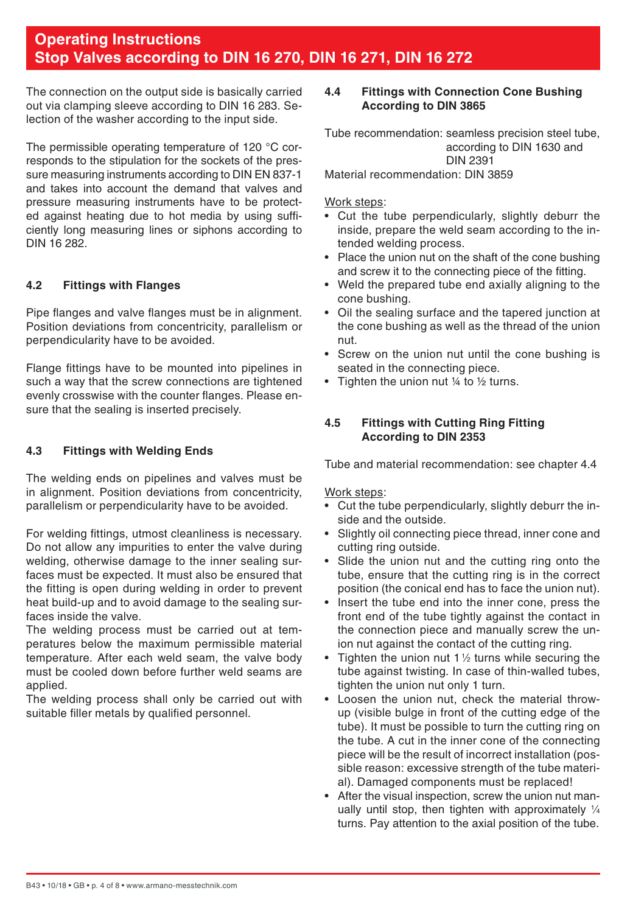<span id="page-3-0"></span>The connection on the output side is basically carried out via clamping sleeve according to DIN 16 283. Selection of the washer according to the input side.

The permissible operating temperature of 120 °C corresponds to the stipulation for the sockets of the pressure measuring instruments according to DIN EN 837-1 and takes into account the demand that valves and pressure measuring instruments have to be protected against heating due to hot media by using sufficiently long measuring lines or siphons according to DIN 16 282.

# **4.2 Fittings with Flanges**

Pipe flanges and valve flanges must be in alignment. Position deviations from concentricity, parallelism or perpendicularity have to be avoided.

Flange fittings have to be mounted into pipelines in such a way that the screw connections are tightened evenly crosswise with the counter flanges. Please ensure that the sealing is inserted precisely.

# **4.3 Fittings with Welding Ends**

The welding ends on pipelines and valves must be in alignment. Position deviations from concentricity, parallelism or perpendicularity have to be avoided.

For welding fittings, utmost cleanliness is necessary. Do not allow any impurities to enter the valve during welding, otherwise damage to the inner sealing surfaces must be expected. It must also be ensured that the fitting is open during welding in order to prevent heat build-up and to avoid damage to the sealing surfaces inside the valve.

The welding process must be carried out at temperatures below the maximum permissible material temperature. After each weld seam, the valve body must be cooled down before further weld seams are applied.

The welding process shall only be carried out with suitable filler metals by qualified personnel.

# **4.4 Fittings with Connection Cone Bushing According to DIN 3865**

Tube recommendation: seamless precision steel tube, according to DIN 1630 and DIN 2391

Material recommendation: DIN 3859

Work steps:

- Cut the tube perpendicularly, slightly deburr the inside, prepare the weld seam according to the intended welding process.
- Place the union nut on the shaft of the cone bushing and screw it to the connecting piece of the fitting.
- Weld the prepared tube end axially aligning to the cone bushing.
- Oil the sealing surface and the tapered junction at the cone bushing as well as the thread of the union nut.
- Screw on the union nut until the cone bushing is seated in the connecting piece.
- Tighten the union nut 1/4 to 1/2 turns.

# **4.5 Fittings with Cutting Ring Fitting According to DIN 2353**

Tube and material recommendation: see chapter 4.4

Work steps:

- Cut the tube perpendicularly, slightly deburr the inside and the outside.
- Slightly oil connecting piece thread, inner cone and cutting ring outside.
- Slide the union nut and the cutting ring onto the tube, ensure that the cutting ring is in the correct position (the conical end has to face the union nut).
- Insert the tube end into the inner cone, press the front end of the tube tightly against the contact in the connection piece and manually screw the union nut against the contact of the cutting ring.
- Tighten the union nut 1 1/2 turns while securing the tube against twisting. In case of thin-walled tubes, tighten the union nut only 1 turn.
- Loosen the union nut, check the material throwup (visible bulge in front of the cutting edge of the tube). It must be possible to turn the cutting ring on the tube. A cut in the inner cone of the connecting piece will be the result of incorrect installation (possible reason: excessive strength of the tube material). Damaged components must be replaced!
- After the visual inspection, screw the union nut manually until stop, then tighten with approximately 1/4 turns. Pay attention to the axial position of the tube.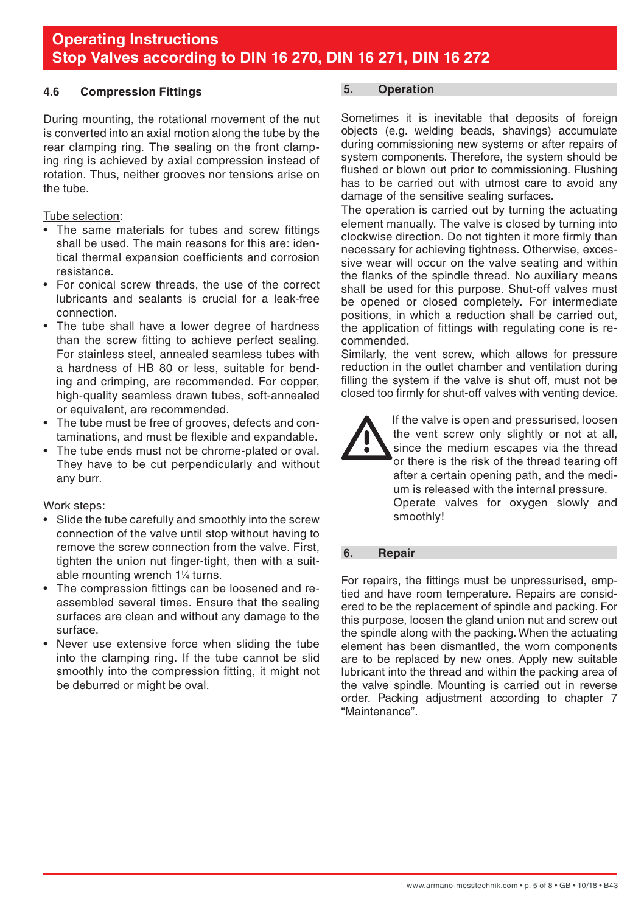## <span id="page-4-0"></span>**4.6 Compression Fittings**

During mounting, the rotational movement of the nut is converted into an axial motion along the tube by the rear clamping ring. The sealing on the front clamping ring is achieved by axial compression instead of rotation. Thus, neither grooves nor tensions arise on the tube.

#### Tube selection:

- The same materials for tubes and screw fittings shall be used. The main reasons for this are: identical thermal expansion coefficients and corrosion resistance.
- For conical screw threads, the use of the correct lubricants and sealants is crucial for a leak-free connection.
- The tube shall have a lower degree of hardness than the screw fitting to achieve perfect sealing. For stainless steel, annealed seamless tubes with a hardness of HB 80 or less, suitable for bending and crimping, are recommended. For copper, high-quality seamless drawn tubes, soft-annealed or equivalent, are recommended.
- The tube must be free of grooves, defects and contaminations, and must be flexible and expandable.
- The tube ends must not be chrome-plated or oval. They have to be cut perpendicularly and without any burr.

#### Work steps:

- Slide the tube carefully and smoothly into the screw connection of the valve until stop without having to remove the screw connection from the valve. First, tighten the union nut finger-tight, then with a suitable mounting wrench 11 ⁄4 turns.
- The compression fittings can be loosened and reassembled several times. Ensure that the sealing surfaces are clean and without any damage to the surface.
- Never use extensive force when sliding the tube into the clamping ring. If the tube cannot be slid smoothly into the compression fitting, it might not be deburred or might be oval.

# **5. Operation**

Sometimes it is inevitable that deposits of foreign objects (e.g. welding beads, shavings) accumulate during commissioning new systems or after repairs of system components. Therefore, the system should be flushed or blown out prior to commissioning. Flushing has to be carried out with utmost care to avoid any damage of the sensitive sealing surfaces.

The operation is carried out by turning the actuating element manually. The valve is closed by turning into clockwise direction. Do not tighten it more firmly than necessary for achieving tightness. Otherwise, excessive wear will occur on the valve seating and within the flanks of the spindle thread. No auxiliary means shall be used for this purpose. Shut-off valves must be opened or closed completely. For intermediate positions, in which a reduction shall be carried out, the application of fittings with regulating cone is recommended.

Similarly, the vent screw, which allows for pressure reduction in the outlet chamber and ventilation during filling the system if the valve is shut off, must not be closed too firmly for shut-off valves with venting device.



If the valve is open and pressurised, loosen the vent screw only slightly or not at all, since the medium escapes via the thread or there is the risk of the thread tearing off after a certain opening path, and the medium is released with the internal pressure. Operate valves for oxygen slowly and smoothly!

# **6. Repair**

For repairs, the fittings must be unpressurised, emptied and have room temperature. Repairs are considered to be the replacement of spindle and packing. For this purpose, loosen the gland union nut and screw out the spindle along with the packing. When the actuating element has been dismantled, the worn components are to be replaced by new ones. Apply new suitable lubricant into the thread and within the packing area of the valve spindle. Mounting is carried out in reverse order. Packing adjustment according to chapter 7 "Maintenance".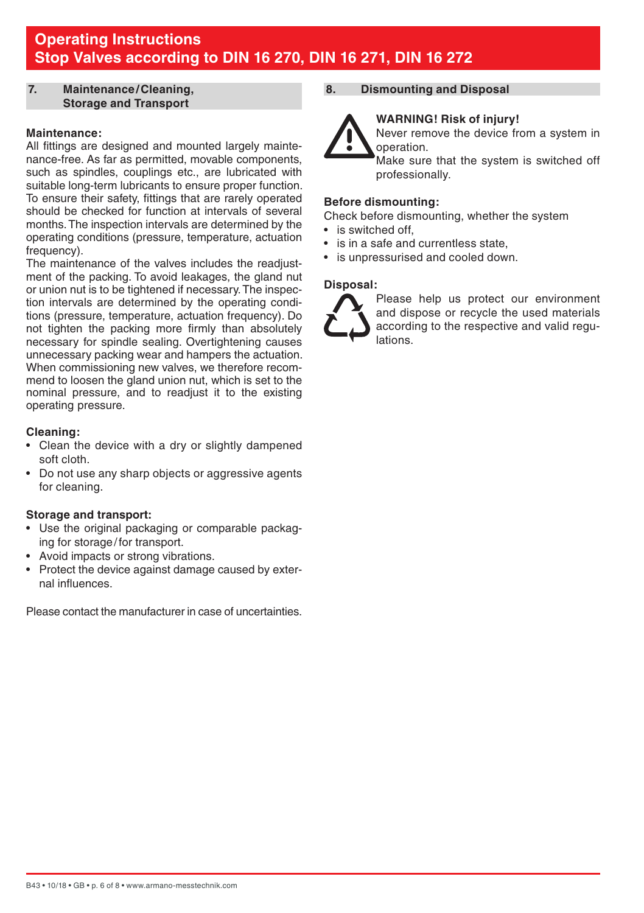#### <span id="page-5-0"></span>**7. Maintenance/Cleaning, Storage and Transport**

#### **Maintenance:**

All fittings are designed and mounted largely maintenance-free. As far as permitted, movable components, such as spindles, couplings etc., are lubricated with suitable long-term lubricants to ensure proper function. To ensure their safety, fittings that are rarely operated should be checked for function at intervals of several months. The inspection intervals are determined by the operating conditions (pressure, temperature, actuation frequency).

The maintenance of the valves includes the readjustment of the packing. To avoid leakages, the gland nut or union nut is to be tightened if necessary. The inspection intervals are determined by the operating conditions (pressure, temperature, actuation frequency). Do not tighten the packing more firmly than absolutely necessary for spindle sealing. Overtightening causes unnecessary packing wear and hampers the actuation. When commissioning new valves, we therefore recommend to loosen the gland union nut, which is set to the nominal pressure, and to readjust it to the existing operating pressure.

#### **Cleaning:**

- Clean the device with a dry or slightly dampened soft cloth.
- Do not use any sharp objects or aggressive agents for cleaning.

#### **Storage and transport:**

- Use the original packaging or comparable packaging for storage/for transport.
- Avoid impacts or strong vibrations.
- Protect the device against damage caused by external influences.

Please contact the manufacturer in case of uncertainties.

# **8. Dismounting and Disposal**



 **WARNING! Risk of injury!** Never remove the device from a system in operation.

Make sure that the system is switched off professionally.

#### **Before dismounting:**

Check before dismounting, whether the system

- is switched off
- is in a safe and currentless state.
- is unpressurised and cooled down.

## **Disposal:**



Please help us protect our environment and dispose or recycle the used materials according to the respective and valid regulations.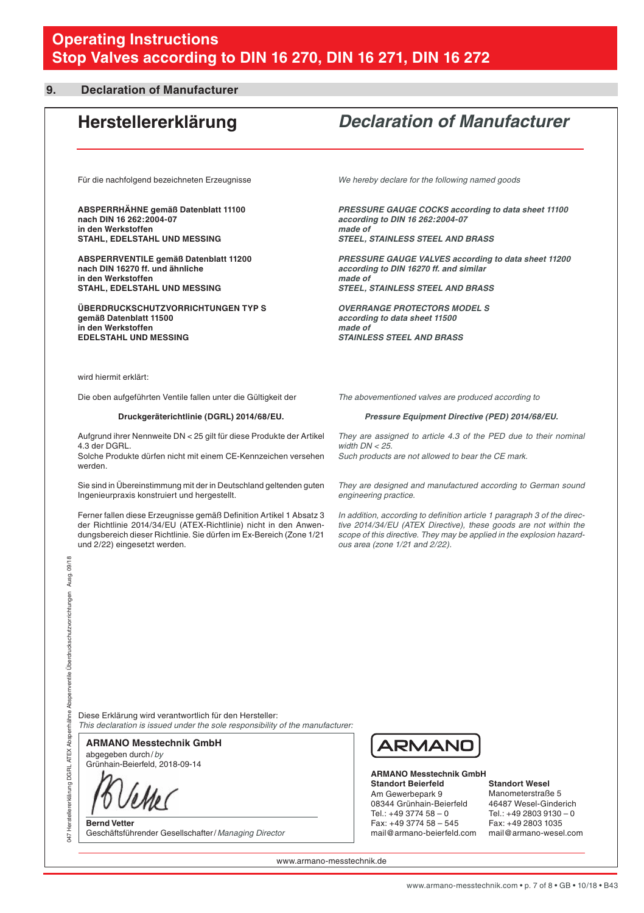#### <span id="page-6-0"></span>**9. Declaration of Manufacturer**

# **Herstellererklärung** *Declaration of Manufacturer*

Für die nachfolgend bezeichneten Erzeugnisse

**ABSPERRHÄHNE gemäß Datenblatt 11100 nach DIN 16 262:2004-07 in den Werkstoffen STAHL, EDELSTAHL UND MESSING**

**ABSPERRVENTILE gemäß Datenblatt 11200 nach DIN 16270 ff. und ähnliche in den Werkstoffen STAHL, EDELSTAHL UND MESSING**

**ÜBERDRUCKSCHUTZVORRICHTUNGEN TYP S gemäß Datenblatt 11500 in den Werkstoffen EDELSTAHL UND MESSING**

*We hereby declare for the following named goods*

*PRESSURE GAUGE COCKS according to data sheet 11100 according to DIN 16 262:2004-07 made of STEEL, STAINLESS STEEL AND BRASS*

*PRESSURE GAUGE VALVES according to data sheet 11200 according to DIN 16270 ff. and similar made of STEEL, STAINLESS STEEL AND BRASS*

*OVERRANGE PROTECTORS MODEL S according to data sheet 11500 made of STAINLESS STEEL AND BRASS*

wird hiermit erklärt:

Die oben aufgeführten Ventile fallen unter die Gültigkeit der

#### **Druckgeräterichtlinie (DGRL) 2014/68/EU.**

Aufgrund ihrer Nennweite DN < 25 gilt für diese Produkte der Artikel 4.3 der DGRL.

Solche Produkte dürfen nicht mit einem CE-Kennzeichen versehen werden.

Sie sind in Übereinstimmung mit der in Deutschland geltenden guten Ingenieurpraxis konstruiert und hergestellt.

Ferner fallen diese Erzeugnisse gemäß Definition Artikel 1 Absatz 3 der Richtlinie 2014/34/EU (ATEX-Richtlinie) nicht in den Anwendungsbereich dieser Richtlinie. Sie dürfen im Ex-Bereich (Zone 1/21 und 2/22) eingesetzt werden.

*The abovementioned valves are produced according to*

#### *Pressure Equipment Directive (PED) 2014/68/EU.*

*They are assigned to article 4.3 of the PED due to their nominal width DN < 25. Such products are not allowed to bear the CE mark.* 

*They are designed and manufactured according to German sound engineering practice.*

*In addition, according to definition article 1 paragraph 3 of the directive 2014/34/EU (ATEX Directive), these goods are not within the scope of this directive. They may be applied in the explosion hazardous area (zone 1/21 and 2/22).*

Diese Erklärung wird verantwortlich für den Hersteller: *This declaration is issued under the sole responsibility of the manufacturer:*

abgegeben durch/*by* **ARMANO Messtechnik GmbH**

Grünhain-Beierfeld, 2018-09-14

l

047 Herstellererklärung DGRL ATEX Absperrhähne Absperrventile Überdruckschutzvorrichtungen Ausg. 09/18

047 Herstellererklärung DGRL ATEX Absperrh

ähne Absperventile Überdruckschutzvorrichtungen

Ausg. 09/18

**Bernd Vetter** Geschäftsführender Gesellschafter/*Managing Director*



**ARMANO Messtechnik GmbH Standort Beierfeld** Am Gewerbepark 9

08344 Grünhain-Beierfeld  $Te1: +49377458 = 0$ Fax: +49 3774 58 – 545 mail@armano-beierfeld.com

**Standort Wesel**

Manometerstraße 5 46487 Wesel-Ginderich  $Te1: +49.2803.9130 - 0$ Fax: +49 2803 1035 mail@armano-wesel.com

www.armano-messtechnik.de